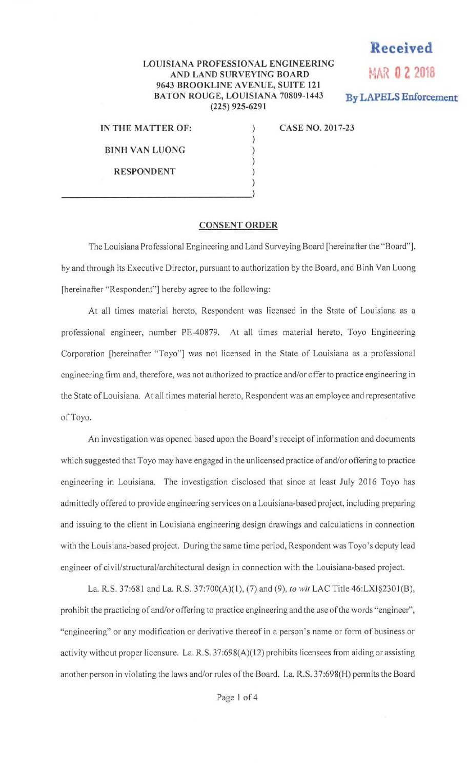## **LOUISIANA PROFESSIONAL ENGINEERING**  AND LAND SURVEYING BOARD **MAR 0 2 2018 9643 BROOKLINE AVENUE, SUITE 121**  BATON ROUGE, LOUISIANA 70809-1443 By LAPELS Enforcement **(225) 925-6291**

) ) ) ) ) ) **Received** 

**IN THE MATTER OF:** 

**BINH VAN LUONG** 

**RESPONDENT** 

**CASE NO. 2017-23** 

## **CONSENT ORDER**

The Louisiana Professional Engineering and Land Surveying Board [hereinafter the "Board"], by and through its Executive Director, pursuant to authorization by the Board, and Binh Van Luong [hereinafter "Respondent"] hereby agree to the following:

At all times material hereto, Respondent was licensed in the State of Louisiana as a professional engineer, number PE-40879. At all times material hereto, Toyo Engineering Corporation [hereinafter "Toyo"] was not licensed in the State of Louisiana as a professional engineering firm and, therefore, was not authorized to practice and/or offer to practice engineering in the State of Louisiana. At all times material hereto, Respondent was an employee and representative of Toyo.

An investigation was opened based upon the Board's receipt of information and documents which suggested that Toyo may have engaged in the unlicensed practice of and/or offering to practice engineering in Louisiana. The investigation disclosed that since at least July 2016 Toyo has admittedly offered to provide engineering services on a Louisiana-based project, including preparing and issuing to the client in Louisiana engineering design drawings and calculations in connection with the Louisiana-based project. During the same time period, Respondent was Toyo 's deputy lead engineer of civil/structural/architectural design in connection with the Louisiana-based project.

La. R.S. 37:681 and La. R.S. 37:700(A)(1), (7) and (9), *to wit* LAC Title 46:LXI§2301(B), prohibit the practicing of and/or offering to practice engineering and the use of the words "engineer", "engineering" or any modification or derivative thereof in a person's name or form of business or activity without proper licensure. La. R.S. 37:698(A)(12) prohibits licensees from aiding or assisting another person in violating the laws and/or rules of the Board. La. R.S. 37:698(H) permits the Board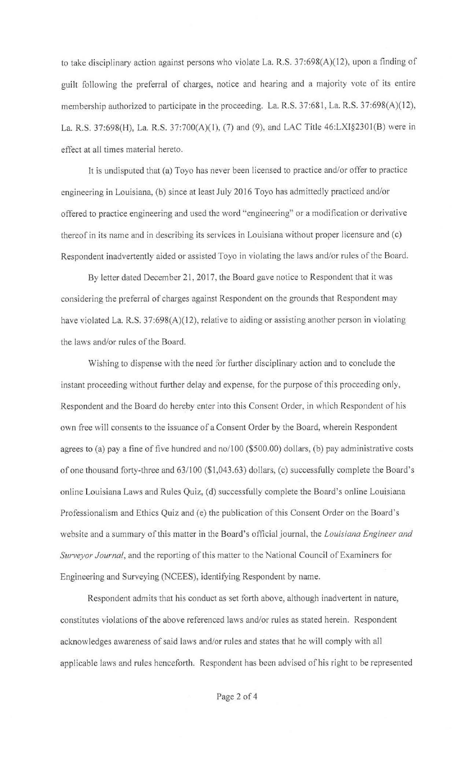to take disciplinary action against persons who violate La. R.S. 37:698(A)(l2), upon a finding of guilt following the preferral of charges, notice and hearing and a majority vote of its entire membership authorized to participate in the proceeding. La. R.S. 37:681, La. R.S. 37:698(A)(12), La. R.S. 37:698(H), La. R.S. 37:700(A)(l), (7) and (9), and LAC Title 46:LXI§2301(B) were in effect at all times material hereto.

It is undisputed that (a) Toyo has never been licensed to practice and/or offer to practice engineering in Louisiana, (b) since at least July 2016 Toyo has admittedly practiced and/or offered to practice engineering and used the word "engineering" or a modification or derivative thereof in its name and in describing its services in Louisiana without proper licensure and (c) Respondent inadvertently aided or assisted Toyo in violating the laws and/or rules of the Board.

By letter dated December 21, 2017, the Board gave notice to Respondent that it was considering the preferral of charges against Respondent on the grounds that Respondent may have violated La. R.S. 37:698(A)(12), relative to aiding or assisting another person in violating the laws and/or rules of the Board.

Wishing to dispense with the need for further disciplinary action and to conclude the instant proceeding without further delay and expense, for the purpose of this proceeding only, Respondent and the Board do hereby enter into this Consent Order, in which Respondent of his own free will consents to the issuance of a Consent Order by the Board, wherein Respondent agrees to (a) pay a fine of five hundred and no/100 (\$500.00) dollars, (b) pay administrative costs of one thousand forty-three and 63/100 (\$ 1,043.63) dollars, (c) successfully complete the Board's online Louisiana Laws and Rules Quiz, (d) successfully complete the Board's online Louisiana Professionalism and Ethics Quiz and (e) the publication of this Consent Order on the Board 's website and a summary of this matter in the Board's official journal, the *Louisiana Engineer and Surveyor Journal,* and the reporting of this matter to the National Council of Examiners for Engineering and Surveying (NCEES), identifying Respondent by name.

Respondent admits that his conduct as set forth above, although inadvertent in nature, constitutes violations of the above referenced laws and/or rules as stated herein. Respondent acknowledges awareness of said laws and/or rules and states that he will comply with all applicable laws and rules henceforth. Respondent has been advised of his right to be represented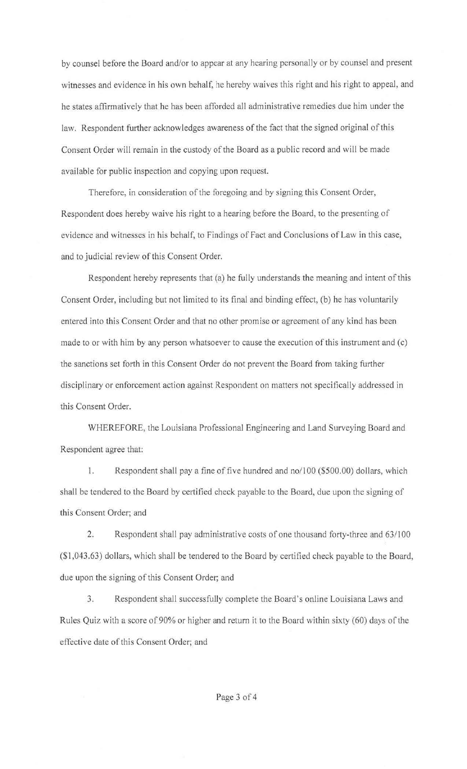by counsel before the Board and/or to appear at any hearing personally or by counsel and present witnesses and evidence in his own behalf, he hereby waives this right and his right to appeal, and he states affirmatively that he has been afforded all administrative remedies due him under the law. Respondent further acknowledges awareness of the fact that the signed original of this Consent Order will remain in the custody of the Board as a public record and will be made available for public inspection and copying upon request.

Therefore, in consideration of the foregoing and by signing this Consent Order, Respondent does hereby waive his right to a hearing before the Board, to the presenting of evidence and witnesses in his behalf, to Findings of Fact and Conclusions of Law in this case, and to judicial review of this Consent Order.

Respondent hereby represents that (a) he fully understands the meaning and intent of this Consent Order, including but not limited to its final and binding effect, (b) he has voluntarily entered into this Consent Order and that no other promise or agreement of any kind has been made to or with him by any person whatsoever to cause the execution of this instrument and (c) the sanctions set forth in this Consent Order do not prevent the Board from taking further disciplinary or enforcement action against Respondent on matters not specifically addressed in this Consent Order.

WHEREFORE, the Louisiana Professional Engineering and Land Surveying Board and Respondent agree that:

1. Respondent shall pay a fine of five hundred and no/100 (\$500.00) dollars, which shall be tendered to the Board by certified check payable to the Board, due upon the signing of this Consent Order; and

2. Respondent shall pay administrative costs of one thousand forty-three and 63/100 (\$1,043.63) dollars, which shall be tendered to the Board by certified check payable to the Board, due upon the signing of this Consent Order; and

3. Respondent shall successfully complete the Board's online Louisiana Laws and Rules Quiz with a score of 90% or higher and return it to the Board within sixty (60) days of the effective date of this Consent Order; and